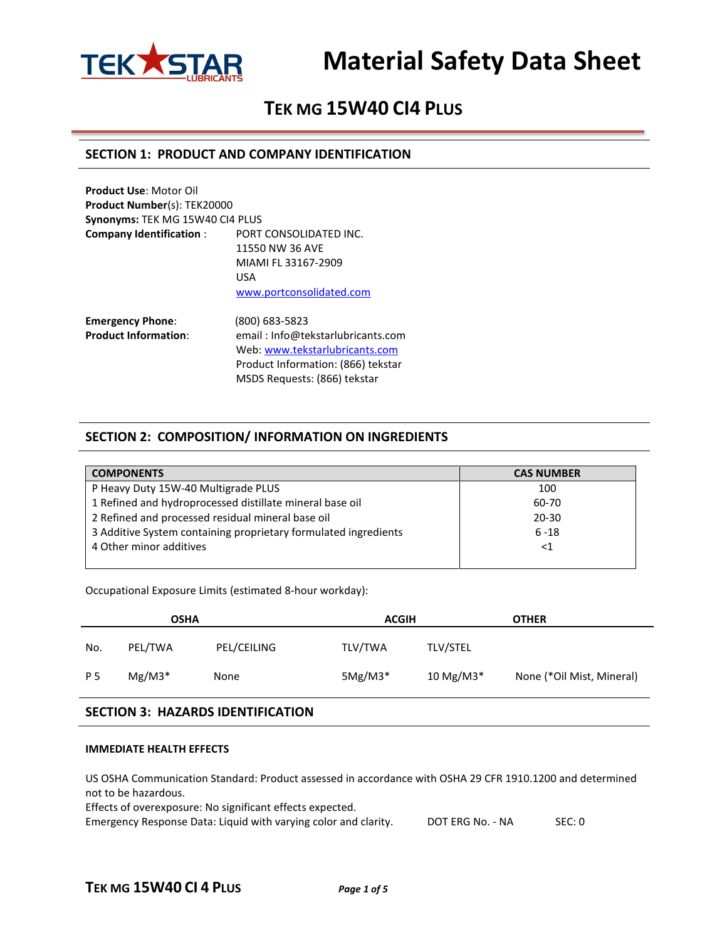

## **TEK MG 15W40 CI4 PLUS**

#### **SECTION 1: PRODUCT AND COMPANY IDENTIFICATION**

**Product Use**: Motor Oil **Product Number**(s): TEK20000 **Synonyms:** TEK MG 15W40 CI4 PLUS **Company Identification** : PORT CONSOLIDATED INC. 11550 NW 36 AVE MIAMI FL 33167-2909 USA [www.portconsolidated.com](http://www.portconsolidated.com/)

**Emergency Phone**: (800) 683-5823 **Product Information**: email : Info@tekstarlubricants.com Web: [www.tekstarlubricants.com](http://www.tekstarlubricants.com/) Product Information: (866) tekstar MSDS Requests: (866) tekstar

### **SECTION 2: COMPOSITION/ INFORMATION ON INGREDIENTS**

| <b>COMPONENTS</b>                                               | <b>CAS NUMBER</b> |
|-----------------------------------------------------------------|-------------------|
| P Heavy Duty 15W-40 Multigrade PLUS                             | 100               |
| 1 Refined and hydroprocessed distillate mineral base oil        | 60-70             |
| 2 Refined and processed residual mineral base oil               | $20 - 30$         |
| 3 Additive System containing proprietary formulated ingredients | $6 - 18$          |
| 4 Other minor additives                                         | $<$ 1             |
|                                                                 |                   |

Occupational Exposure Limits (estimated 8-hour workday):

| <b>OSHA</b> |          |             | <b>ACGIH</b> |                 | <b>OTHER</b>              |  |
|-------------|----------|-------------|--------------|-----------------|---------------------------|--|
| No.         | PEL/TWA  | PEL/CEILING | TLV/TWA      | <b>TLV/STEL</b> |                           |  |
| P 5         | $Mg/M3*$ | None        | $5Mg/M3*$    | 10 Mg/M3*       | None (*Oil Mist, Mineral) |  |

### **SECTION 3: HAZARDS IDENTIFICATION**

#### **IMMEDIATE HEALTH EFFECTS**

US OSHA Communication Standard: Product assessed in accordance with OSHA 29 CFR 1910.1200 and determined not to be hazardous.

Effects of overexposure: No significant effects expected.

Emergency Response Data: Liquid with varying color and clarity. DOT ERG No. - NA SEC: 0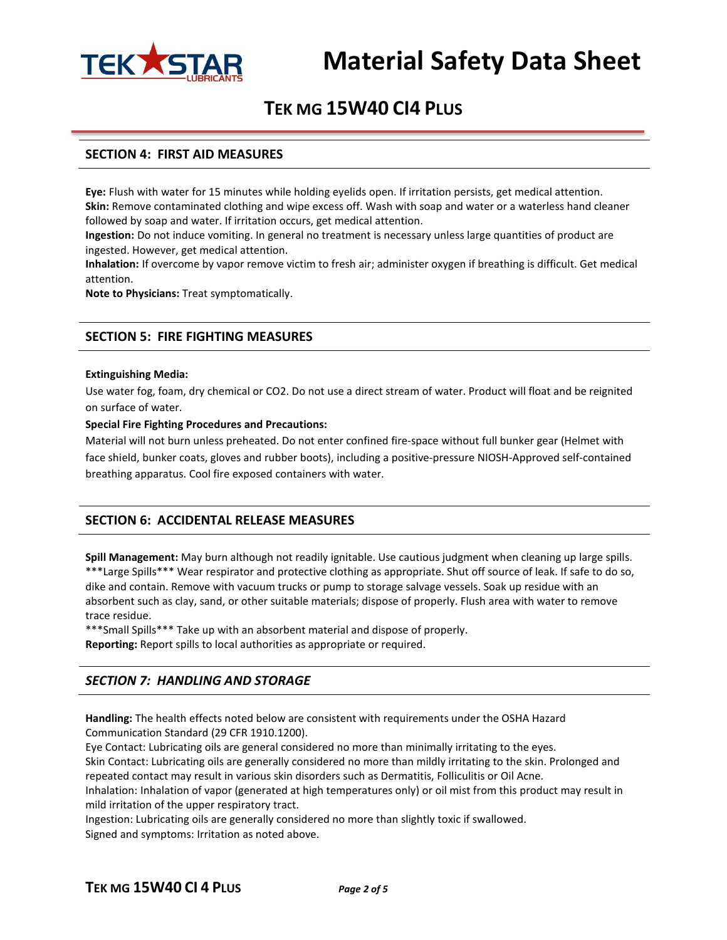

## **TEK MG 15W40 CI4 PLUS**

#### **SECTION 4: FIRST AID MEASURES**

**Eye:** Flush with water for 15 minutes while holding eyelids open. If irritation persists, get medical attention. **Skin:** Remove contaminated clothing and wipe excess off. Wash with soap and water or a waterless hand cleaner followed by soap and water. If irritation occurs, get medical attention.

**Ingestion:** Do not induce vomiting. In general no treatment is necessary unless large quantities of product are ingested. However, get medical attention.

**Inhalation:** If overcome by vapor remove victim to fresh air; administer oxygen if breathing is difficult. Get medical attention.

**Note to Physicians:** Treat symptomatically.

#### **SECTION 5: FIRE FIGHTING MEASURES**

#### **Extinguishing Media:**

Use water fog, foam, dry chemical or CO2. Do not use a direct stream of water. Product will float and be reignited on surface of water.

#### **Special Fire Fighting Procedures and Precautions:**

Material will not burn unless preheated. Do not enter confined fire-space without full bunker gear (Helmet with face shield, bunker coats, gloves and rubber boots), including a positive-pressure NIOSH-Approved self-contained breathing apparatus. Cool fire exposed containers with water.

#### **SECTION 6: ACCIDENTAL RELEASE MEASURES**

**Spill Management:** May burn although not readily ignitable. Use cautious judgment when cleaning up large spills. \*\*\*Large Spills\*\*\* Wear respirator and protective clothing as appropriate. Shut off source of leak. If safe to do so, dike and contain. Remove with vacuum trucks or pump to storage salvage vessels. Soak up residue with an absorbent such as clay, sand, or other suitable materials; dispose of properly. Flush area with water to remove trace residue.

\*\*\*Small Spills\*\*\* Take up with an absorbent material and dispose of properly.

**Reporting:** Report spills to local authorities as appropriate or required.

### *SECTION 7: HANDLING AND STORAGE*

**Handling:** The health effects noted below are consistent with requirements under the OSHA Hazard Communication Standard (29 CFR 1910.1200).

Eye Contact: Lubricating oils are general considered no more than minimally irritating to the eyes. Skin Contact: Lubricating oils are generally considered no more than mildly irritating to the skin. Prolonged and repeated contact may result in various skin disorders such as Dermatitis, Folliculitis or Oil Acne. Inhalation: Inhalation of vapor (generated at high temperatures only) or oil mist from this product may result in mild irritation of the upper respiratory tract.

Ingestion: Lubricating oils are generally considered no more than slightly toxic if swallowed. Signed and symptoms: Irritation as noted above.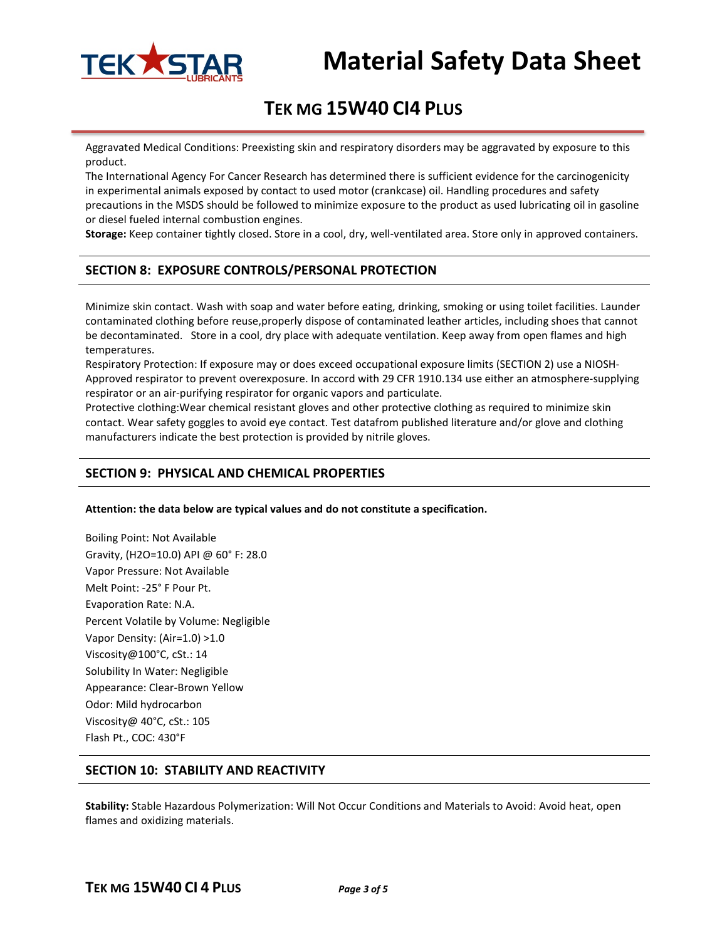

# **TEK MG 15W40 CI4 PLUS**

Aggravated Medical Conditions: Preexisting skin and respiratory disorders may be aggravated by exposure to this product.

The International Agency For Cancer Research has determined there is sufficient evidence for the carcinogenicity in experimental animals exposed by contact to used motor (crankcase) oil. Handling procedures and safety precautions in the MSDS should be followed to minimize exposure to the product as used lubricating oil in gasoline or diesel fueled internal combustion engines.

**Storage:** Keep container tightly closed. Store in a cool, dry, well-ventilated area. Store only in approved containers.

## **SECTION 8: EXPOSURE CONTROLS/PERSONAL PROTECTION**

Minimize skin contact. Wash with soap and water before eating, drinking, smoking or using toilet facilities. Launder contaminated clothing before reuse,properly dispose of contaminated leather articles, including shoes that cannot be decontaminated. Store in a cool, dry place with adequate ventilation. Keep away from open flames and high temperatures.

Respiratory Protection: If exposure may or does exceed occupational exposure limits (SECTION 2) use a NIOSH-Approved respirator to prevent overexposure. In accord with 29 CFR 1910.134 use either an atmosphere-supplying respirator or an air-purifying respirator for organic vapors and particulate.

Protective clothing:Wear chemical resistant gloves and other protective clothing as required to minimize skin contact. Wear safety goggles to avoid eye contact. Test datafrom published literature and/or glove and clothing manufacturers indicate the best protection is provided by nitrile gloves.

## **SECTION 9: PHYSICAL AND CHEMICAL PROPERTIES**

**Attention: the data below are typical values and do not constitute a specification.**

Boiling Point: Not Available Gravity, (H2O=10.0) API @ 60° F: 28.0 Vapor Pressure: Not Available Melt Point: -25° F Pour Pt. Evaporation Rate: N.A. Percent Volatile by Volume: Negligible Vapor Density: (Air=1.0) >1.0 Viscosity@100°C, cSt.: 14 Solubility In Water: Negligible Appearance: Clear-Brown Yellow Odor: Mild hydrocarbon Viscosity@ 40°C, cSt.: 105 Flash Pt., COC: 430°F

## **SECTION 10: STABILITY AND REACTIVITY**

**Stability:** Stable Hazardous Polymerization: Will Not Occur Conditions and Materials to Avoid: Avoid heat, open flames and oxidizing materials.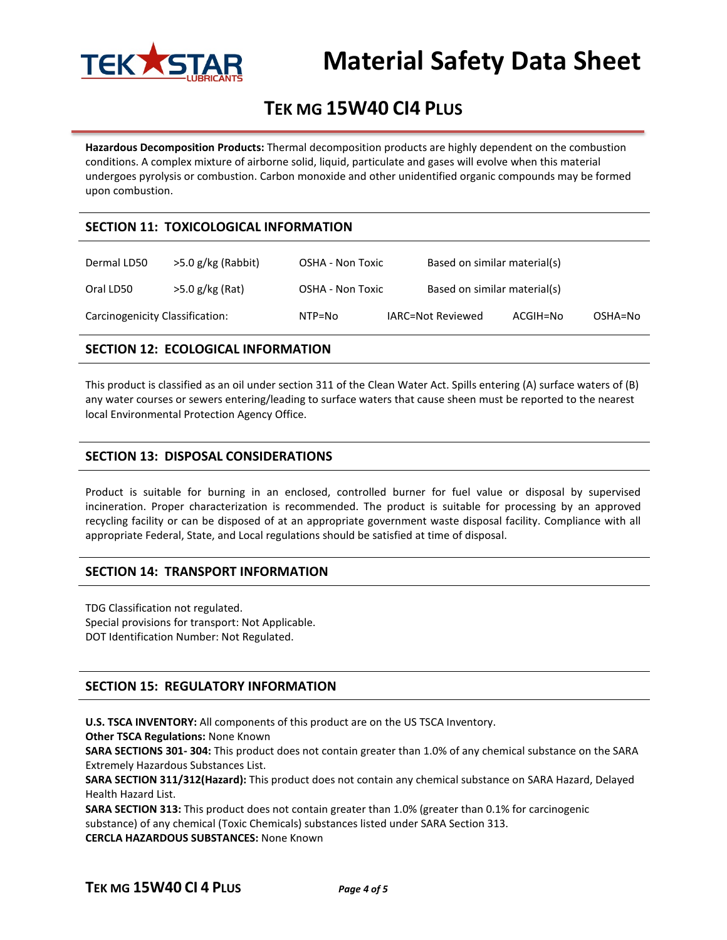

# **TEK MG 15W40 CI4 PLUS**

**Hazardous Decomposition Products:** Thermal decomposition products are highly dependent on the combustion conditions. A complex mixture of airborne solid, liquid, particulate and gases will evolve when this material undergoes pyrolysis or combustion. Carbon monoxide and other unidentified organic compounds may be formed upon combustion.

### **SECTION 11: TOXICOLOGICAL INFORMATION**

| Dermal LD50                     | >5.0 g/kg (Rabbit) | OSHA - Non Toxic | Based on similar material(s) |          |         |
|---------------------------------|--------------------|------------------|------------------------------|----------|---------|
| Oral LD50                       | >5.0 g/kg (Rat)    | OSHA - Non Toxic | Based on similar material(s) |          |         |
| Carcinogenicity Classification: |                    | NTP=No           | IARC=Not Reviewed            | ACGIH=No | OSHA=No |

### **SECTION 12: ECOLOGICAL INFORMATION**

This product is classified as an oil under section 311 of the Clean Water Act. Spills entering (A) surface waters of (B) any water courses or sewers entering/leading to surface waters that cause sheen must be reported to the nearest local Environmental Protection Agency Office.

### **SECTION 13: DISPOSAL CONSIDERATIONS**

Product is suitable for burning in an enclosed, controlled burner for fuel value or disposal by supervised incineration. Proper characterization is recommended. The product is suitable for processing by an approved recycling facility or can be disposed of at an appropriate government waste disposal facility. Compliance with all appropriate Federal, State, and Local regulations should be satisfied at time of disposal.

#### **SECTION 14: TRANSPORT INFORMATION**

TDG Classification not regulated. Special provisions for transport: Not Applicable. DOT Identification Number: Not Regulated.

## **SECTION 15: REGULATORY INFORMATION**

**U.S. TSCA INVENTORY:** All components of this product are on the US TSCA Inventory.

**Other TSCA Regulations:** None Known

**SARA SECTIONS 301- 304:** This product does not contain greater than 1.0% of any chemical substance on the SARA Extremely Hazardous Substances List.

**SARA SECTION 311/312(Hazard):** This product does not contain any chemical substance on SARA Hazard, Delayed Health Hazard List.

**SARA SECTION 313:** This product does not contain greater than 1.0% (greater than 0.1% for carcinogenic substance) of any chemical (Toxic Chemicals) substances listed under SARA Section 313. **CERCLA HAZARDOUS SUBSTANCES:** None Known